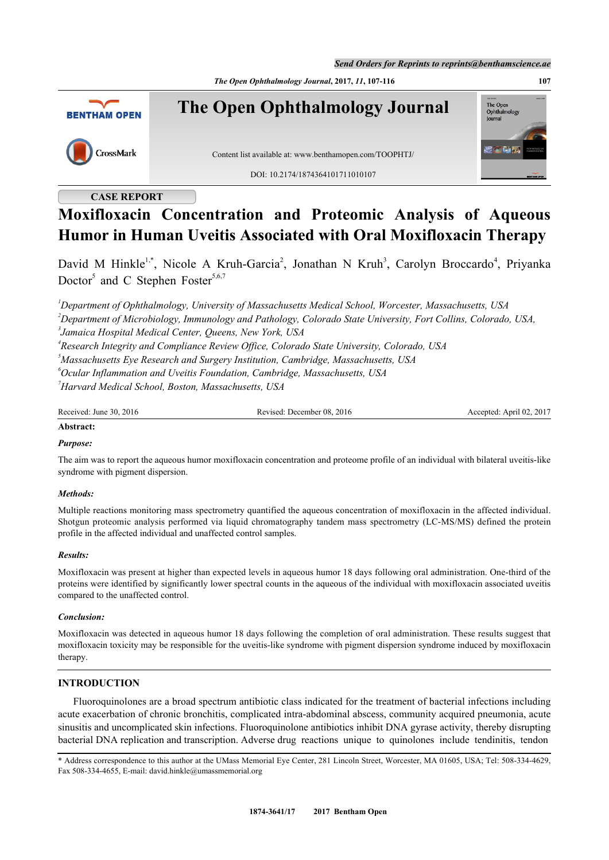*Send Orders for Reprints to reprints@benthamscience.ae*

*The Open Ophthalmology Journal***, 2017,** *11***, 107-116 107**



# **CASE REPORT**

# **Moxifloxacin Concentration and Proteomic Analysis of Aqueous Humor in Human Uveitis Associated with Oral Moxifloxacin Therapy**

David M Hinkle<sup>[1](#page-0-0)[,\\*](#page-0-1)</sup>, Nicole A Kruh-Garcia<sup>[2](#page-0-2)</sup>, Jonathan N Kruh<sup>[3](#page-0-3)</sup>, Carolyn Broccardo<sup>[4](#page-0-4)</sup>, Priyanka Doctor<sup>[5](#page-0-5)</sup> and C Stephen Foster<sup>[5,](#page-0-5)[6,](#page-0-6)[7](#page-0-7)</sup>

<span id="page-0-3"></span><span id="page-0-2"></span><span id="page-0-0"></span>*Department of Ophthalmology, University of Massachusetts Medical School, Worcester, Massachusetts, USA Department of Microbiology, Immunology and Pathology, Colorado State University, Fort Collins, Colorado, USA, Jamaica Hospital Medical Center, Queens, New York, USA Research Integrity and Compliance Review Office, Colorado State University, Colorado, USA Massachusetts Eye Research and Surgery Institution, Cambridge, Massachusetts, USA Ocular Inflammation and Uveitis Foundation, Cambridge, Massachusetts, USA*

<span id="page-0-7"></span><span id="page-0-6"></span><span id="page-0-5"></span><span id="page-0-4"></span>*<sup>7</sup>Harvard Medical School, Boston, Massachusetts, USA*

Received: June 30, 2016 Revised: December 08, 2016 Accepted: April 02, 2017

## **Abstract:**

## *Purpose:*

The aim was to report the aqueous humor moxifloxacin concentration and proteome profile of an individual with bilateral uveitis-like syndrome with pigment dispersion.

## *Methods:*

Multiple reactions monitoring mass spectrometry quantified the aqueous concentration of moxifloxacin in the affected individual. Shotgun proteomic analysis performed via liquid chromatography tandem mass spectrometry (LC-MS/MS) defined the protein profile in the affected individual and unaffected control samples.

## *Results:*

Moxifloxacin was present at higher than expected levels in aqueous humor 18 days following oral administration. One-third of the proteins were identified by significantly lower spectral counts in the aqueous of the individual with moxifloxacin associated uveitis compared to the unaffected control.

## *Conclusion:*

Moxifloxacin was detected in aqueous humor 18 days following the completion of oral administration. These results suggest that moxifloxacin toxicity may be responsible for the uveitis-like syndrome with pigment dispersion syndrome induced by moxifloxacin therapy.

## **INTRODUCTION**

Fluoroquinolones are a broad spectrum antibiotic class indicated for the treatment of bacterial infections including acute exacerbation of chronic bronchitis, complicated intra-abdominal abscess, community acquired pneumonia, acute sinusitis and uncomplicated skin infections. Fluoroquinolone antibiotics inhibit DNA gyrase activity, thereby disrupting bacterial DNA replication and transcription. Adverse drug reactions unique to quinolones include tendinitis, tendon

<span id="page-0-1"></span>\* Address correspondence to this author at the UMass Memorial Eye Center, 281 Lincoln Street, Worcester, MA 01605, USA; Tel: 508-334-4629, Fax 508-334-4655, E-mail: [david.hinkle@umassmemorial.org](mailto:david.hinkle@umassmemorial.org)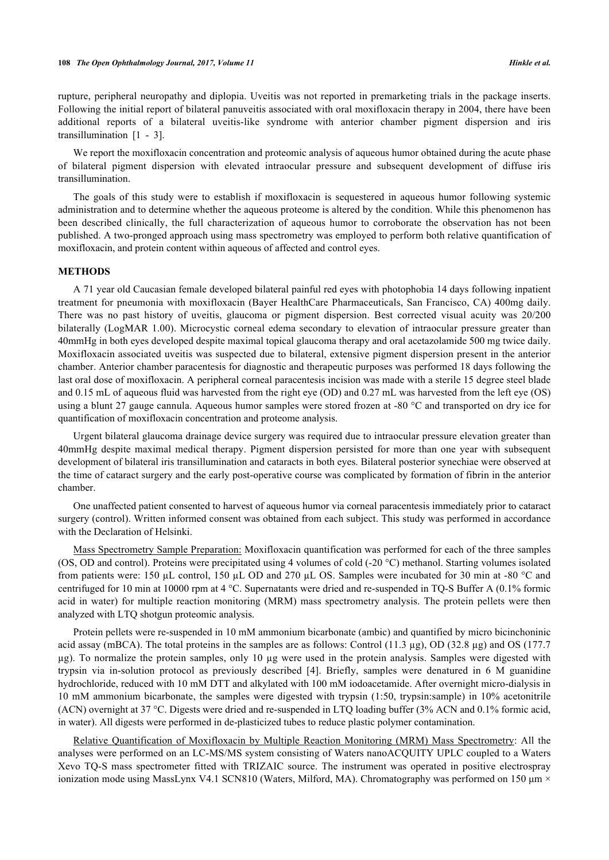rupture, peripheral neuropathy and diplopia. Uveitis was not reported in premarketing trials in the package inserts. Following the initial report of bilateral panuveitis associated with oral moxifloxacin therapy in 2004, there have been additional reports of a bilateral uveitis-like syndrome with anterior chamber pigment dispersion and iris transillumination $\begin{bmatrix} 1 & -3 \end{bmatrix}$  $\begin{bmatrix} 1 & -3 \end{bmatrix}$  $\begin{bmatrix} 1 & -3 \end{bmatrix}$ .

We report the moxifloxacin concentration and proteomic analysis of aqueous humor obtained during the acute phase of bilateral pigment dispersion with elevated intraocular pressure and subsequent development of diffuse iris transillumination.

The goals of this study were to establish if moxifloxacin is sequestered in aqueous humor following systemic administration and to determine whether the aqueous proteome is altered by the condition. While this phenomenon has been described clinically, the full characterization of aqueous humor to corroborate the observation has not been published. A two-pronged approach using mass spectrometry was employed to perform both relative quantification of moxifloxacin, and protein content within aqueous of affected and control eyes.

#### **METHODS**

A 71 year old Caucasian female developed bilateral painful red eyes with photophobia 14 days following inpatient treatment for pneumonia with moxifloxacin (Bayer HealthCare Pharmaceuticals, San Francisco, CA) 400mg daily. There was no past history of uveitis, glaucoma or pigment dispersion. Best corrected visual acuity was 20/200 bilaterally (LogMAR 1.00). Microcystic corneal edema secondary to elevation of intraocular pressure greater than 40mmHg in both eyes developed despite maximal topical glaucoma therapy and oral acetazolamide 500 mg twice daily. Moxifloxacin associated uveitis was suspected due to bilateral, extensive pigment dispersion present in the anterior chamber. Anterior chamber paracentesis for diagnostic and therapeutic purposes was performed 18 days following the last oral dose of moxifloxacin. A peripheral corneal paracentesis incision was made with a sterile 15 degree steel blade and 0.15 mL of aqueous fluid was harvested from the right eye (OD) and 0.27 mL was harvested from the left eye (OS) using a blunt 27 gauge cannula. Aqueous humor samples were stored frozen at -80 °C and transported on dry ice for quantification of moxifloxacin concentration and proteome analysis.

Urgent bilateral glaucoma drainage device surgery was required due to intraocular pressure elevation greater than 40mmHg despite maximal medical therapy. Pigment dispersion persisted for more than one year with subsequent development of bilateral iris transillumination and cataracts in both eyes. Bilateral posterior synechiae were observed at the time of cataract surgery and the early post-operative course was complicated by formation of fibrin in the anterior chamber.

One unaffected patient consented to harvest of aqueous humor via corneal paracentesis immediately prior to cataract surgery (control). Written informed consent was obtained from each subject. This study was performed in accordance with the Declaration of Helsinki.

Mass Spectrometry Sample Preparation: Moxifloxacin quantification was performed for each of the three samples (OS, OD and control). Proteins were precipitated using 4 volumes of cold (-20 °C) methanol. Starting volumes isolated from patients were: 150 µL control, 150 µL OD and 270 µL OS. Samples were incubated for 30 min at -80 °C and centrifuged for 10 min at 10000 rpm at 4 °C. Supernatants were dried and re-suspended in TQ-S Buffer A (0.1% formic acid in water) for multiple reaction monitoring (MRM) mass spectrometry analysis. The protein pellets were then analyzed with LTQ shotgun proteomic analysis.

Protein pellets were re-suspended in 10 mM ammonium bicarbonate (ambic) and quantified by micro bicinchoninic acid assay (mBCA). The total proteins in the samples are as follows: Control (11.3 µg), OD (32.8 µg) and OS (177.7 µg). To normalize the protein samples, only 10 µg were used in the protein analysis. Samples were digested with trypsin via in-solution protocol as previously described [\[4](#page-8-0)]. Briefly, samples were denatured in 6 M guanidine hydrochloride, reduced with 10 mM DTT and alkylated with 100 mM iodoacetamide. After overnight micro-dialysis in 10 mM ammonium bicarbonate, the samples were digested with trypsin (1:50, trypsin:sample) in 10% acetonitrile (ACN) overnight at 37 °C. Digests were dried and re-suspended in LTQ loading buffer (3% ACN and 0.1% formic acid, in water). All digests were performed in de-plasticized tubes to reduce plastic polymer contamination.

Relative Quantification of Moxifloxacin by Multiple Reaction Monitoring (MRM) Mass Spectrometry: All the analyses were performed on an LC-MS/MS system consisting of Waters nanoACQUITY UPLC coupled to a Waters Xevo TQ-S mass spectrometer fitted with TRIZAIC source. The instrument was operated in positive electrospray ionization mode using MassLynx V4.1 SCN810 (Waters, Milford, MA). Chromatography was performed on 150  $\mu$ m  $\times$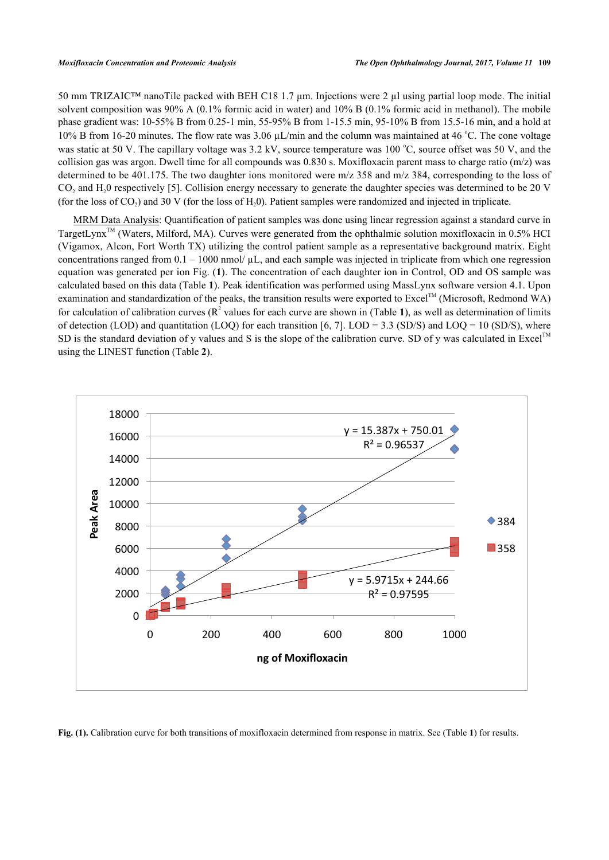50 mm TRIZAIC™ nanoTile packed with BEH C18 1.7 μm. Injections were 2 µl using partial loop mode. The initial solvent composition was 90% A (0.1% formic acid in water) and 10% B (0.1% formic acid in methanol). The mobile phase gradient was: 10-55% B from 0.25-1 min, 55-95% B from 1-15.5 min, 95-10% B from 15.5-16 min, and a hold at 10% B from 16-20 minutes. The flow rate was  $3.06 \mu L/min$  and the column was maintained at 46 °C. The cone voltage was static at 50 V. The capillary voltage was  $3.2 \text{ kV}$ , source temperature was  $100 \degree C$ , source offset was 50 V, and the collision gas was argon. Dwell time for all compounds was 0.830 s. Moxifloxacin parent mass to charge ratio (m/z) was determined to be 401.175. The two daughter ions monitored were m/z 358 and m/z 384, corresponding to the loss of  $CO<sub>2</sub>$  and H<sub>2</sub>0 respectively [\[5](#page-8-1)]. Collision energy necessary to generate the daughter species was determined to be 20 V (for the loss of  $CO_2$ ) and 30 V (for the loss of  $H_2$ 0). Patient samples were randomized and injected in triplicate.

MRM Data Analysis: Quantification of patient samples was done using linear regression against a standard curve in TargetLynx<sup>TM</sup> (Waters, Milford, MA). Curves were generated from the ophthalmic solution moxifloxacin in 0.5% HCI (Vigamox, Alcon, Fort Worth TX) utilizing the control patient sample as a representative background matrix. Eight concentrations ranged from  $0.1 - 1000$  nmol/ $\mu$ L, and each sample was injected in triplicate from which one regression equation was generated per ion Fig. (**[1](#page-2-0)**). The concentration of each daughter ion in Control, OD and OS sample was calculated based on this data (Table **[1](#page-3-0)**). Peak identification was performed using MassLynx software version 4.1. Upon examination and standardization of the peaks, the transition results were exported to Excel<sup>TM</sup> (Microsoft, Redmond WA) for calculation of calibration curves ( $\mathbb{R}^2$  values for each curve are shown in (Table [1](#page-3-0)), as well as determination of limits of detection (LOD) and quantitation (LOQ) for each transition [[6,](#page-8-2) [7](#page-8-3)]. LOD = 3.3 (SD/S) and LOQ = 10 (SD/S), where SD is the standard deviation of y values and S is the slope of the calibration curve. SD of y was calculated in Excel<sup>TM</sup> using the LINEST function (Table **[2](#page-3-1)**).

<span id="page-2-0"></span>

**Fig. (1).** Calibration curve for both transitions of moxifloxacin determined from response in matrix. See (Table **[1](#page-3-0)**) for results.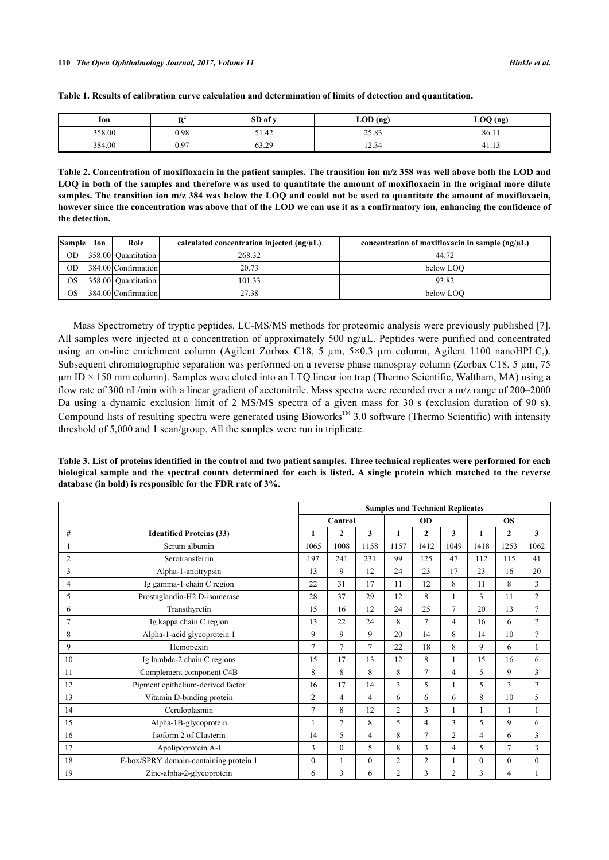| lon    | $\mathbf{D}^2$<br>- | SD of y | $\Omega$ (ng) | LOQ (ng)   |  |  |
|--------|---------------------|---------|---------------|------------|--|--|
| 358.00 | 0.98                | 51.42   | 25.83         | 86.11      |  |  |
| 384.00 | 0.97                | 63.29   | 12.34         | 4<br>71.IJ |  |  |

<span id="page-3-0"></span>

<span id="page-3-1"></span>**Table 2. Concentration of moxifloxacin in the patient samples. The transition ion m/z 358 was well above both the LOD and LOQ in both of the samples and therefore was used to quantitate the amount of moxifloxacin in the original more dilute samples. The transition ion m/z 384 was below the LOQ and could not be used to quantitate the amount of moxifloxacin, however since the concentration was above that of the LOD we can use it as a confirmatory ion, enhancing the confidence of the detection.**

| <b>Sample</b> | Ion | Role                | calculated concentration injected $(ng/\mu L)$ | concentration of moxifloxacin in sample $(ng/\mu L)$ |
|---------------|-----|---------------------|------------------------------------------------|------------------------------------------------------|
| <b>OD</b>     |     | 358.00 Ouantitation | 268.32                                         | 44.72                                                |
| OD            |     | 384.00 Confirmation | 20.73                                          | below LOO                                            |
| <b>OS</b>     |     | 358.00 Ouantitation | 101.33                                         | 93.82                                                |
| OS            |     | 384.00 Confirmation | 27.38                                          | below LOO                                            |

Mass Spectrometry of tryptic peptides. LC-MS/MS methods for proteomic analysis were previously published [[7\]](#page-8-3). All samples were injected at a concentration of approximately 500 ng/µL. Peptides were purified and concentrated using an on-line enrichment column (Agilent Zorbax C18, 5  $\mu$ m, 5×0.3  $\mu$ m column, Agilent 1100 nanoHPLC,). Subsequent chromatographic separation was performed on a reverse phase nanospray column (Zorbax C18, 5  $\mu$ m, 75  $\mu$ m ID × 150 mm column). Samples were eluted into an LTQ linear ion trap (Thermo Scientific, Waltham, MA) using a flow rate of 300 nL/min with a linear gradient of acetonitrile. Mass spectra were recorded over a m/z range of 200–2000 Da using a dynamic exclusion limit of 2 MS/MS spectra of a given mass for 30 s (exclusion duration of 90 s). Compound lists of resulting spectra were generated using Bioworks<sup>TM</sup> 3.0 software (Thermo Scientific) with intensity threshold of 5,000 and 1 scan/group. All the samples were run in triplicate.

<span id="page-3-2"></span>**Table 3. List of proteins identified in the control and two patient samples. Three technical replicates were performed for each biological sample and the spectral counts determined for each is listed. A single protein which matched to the reverse database (in bold) is responsible for the FDR rate of 3%.**

|                |                                        | <b>Samples and Technical Replicates</b> |              |          |                |                |                |                |                |                |
|----------------|----------------------------------------|-----------------------------------------|--------------|----------|----------------|----------------|----------------|----------------|----------------|----------------|
|                |                                        | Control                                 |              |          | <b>OD</b>      |                |                | <b>OS</b>      |                |                |
| #              | <b>Identified Proteins (33)</b>        | 1                                       | $\mathbf{2}$ | 3        | 1              | $\mathbf{2}$   | 3              | $\mathbf{1}$   | $\overline{2}$ | 3              |
|                | Serum albumin                          | 1065                                    | 1008         | 1158     | 1157           | 1412           | 1049           | 1418           | 1253           | 1062           |
| $\overline{2}$ | Serotransferrin                        | 197                                     | 241          | 231      | 99             | 125            | 47             | 112            | 115            | 41             |
| 3              | Alpha-1-antitrypsin                    | 13                                      | 9            | 12       | 24             | 23             | 17             | 23             | 16             | 20             |
| 4              | Ig gamma-1 chain C region              | 22                                      | 31           | 17       | 11             | 12             | 8              | 11             | 8              | 3              |
| 5              | Prostaglandin-H2 D-isomerase           | 28                                      | 37           | 29       | 12             | 8              |                | 3              | 11             | $\overline{2}$ |
| 6              | Transthyretin                          | 15                                      | 16           | 12       | 24             | 25             | 7              | 20             | 13             | $\overline{7}$ |
| $\overline{7}$ | Ig kappa chain C region                | 13                                      | 22           | 24       | 8              | $\tau$         | $\overline{4}$ | 16             | 6              | $\overline{2}$ |
| 8              | Alpha-1-acid glycoprotein 1            | 9                                       | 9            | 9        | 20             | 14             | 8              | 14             | 10             | $\overline{7}$ |
| 9              | Hemopexin                              | $\tau$                                  | 7            | 7        | 22             | 18             | 8              | 9              | 6              |                |
| 10             | Ig lambda-2 chain C regions            | 15                                      | 17           | 13       | 12             | 8              |                | 15             | 16             | 6              |
| 11             | Complement component C4B               | 8                                       | 8            | 8        | 8              | $\overline{7}$ | 4              | 5              | 9              | 3              |
| 12             | Pigment epithelium-derived factor      | 16                                      | 17           | 14       | 3              | 5              |                | 5              | 3              | $\overline{2}$ |
| 13             | Vitamin D-binding protein              | $\overline{2}$                          | 4            | 4        | 6              | 6              | 6              | 8              | 10             | 5              |
| 14             | Ceruloplasmin                          | $\overline{7}$                          | 8            | 12       | $\overline{2}$ | 3              |                | 1              | 1              | $\mathbf{1}$   |
| 15             | Alpha-1B-glycoprotein                  | 1                                       | 7            | 8        | 5              | $\overline{4}$ | 3              | 5              | 9              | 6              |
| 16             | Isoform 2 of Clusterin                 | 14                                      | 5            | 4        | 8              | $\overline{7}$ | $\overline{2}$ | $\overline{4}$ | 6              | 3              |
| 17             | Apolipoprotein A-I                     | 3                                       | $\theta$     | 5        | 8              | 3              | 4              | 5              | $\overline{7}$ | 3              |
| 18             | F-box/SPRY domain-containing protein 1 | $\theta$                                | 1            | $\theta$ | $\overline{2}$ | $\overline{2}$ |                | $\mathbf{0}$   | $\theta$       | $\theta$       |
| 19             | Zinc-alpha-2-glycoprotein              | 6                                       | 3            | 6        | $\overline{2}$ | 3              | $\overline{2}$ | 3              | 4              |                |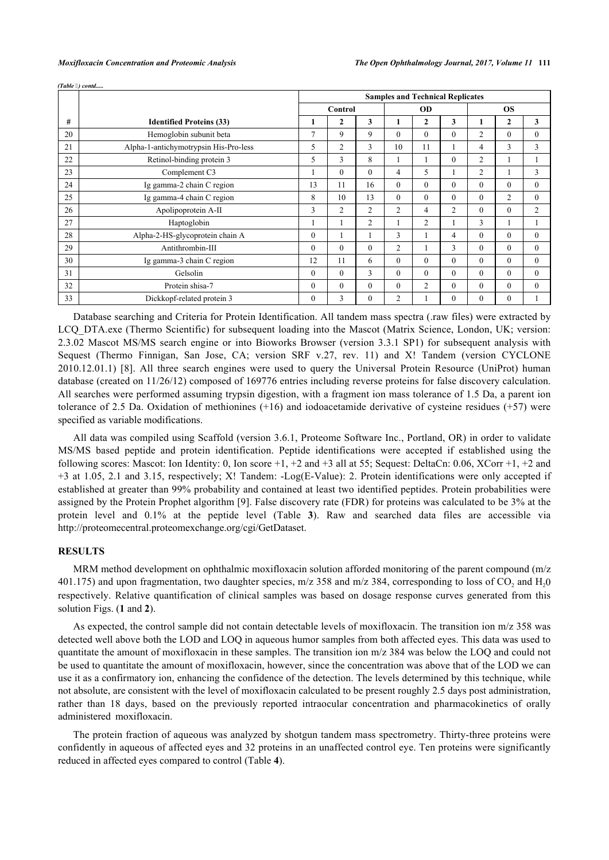|    |                                       | <b>Samples and Technical Replicates</b> |                |                |          |                |                |                  |                |              |
|----|---------------------------------------|-----------------------------------------|----------------|----------------|----------|----------------|----------------|------------------|----------------|--------------|
|    |                                       | Control                                 |                | <b>OD</b>      |          |                | <b>OS</b>      |                  |                |              |
| #  | <b>Identified Proteins (33)</b>       |                                         | 2              | 3              | 1        | $\overline{2}$ | 3              |                  | $\mathbf{2}$   | $\mathbf{3}$ |
| 20 | Hemoglobin subunit beta               | 7                                       | 9              | 9              | $\theta$ | $\theta$       | $\Omega$       | $\overline{2}$   | $\theta$       | $\theta$     |
| 21 | Alpha-1-antichymotrypsin His-Pro-less | 5                                       | $\overline{2}$ | 3              | 10       | 11             |                | 4                | 3              | 3            |
| 22 | Retinol-binding protein 3             | 5                                       | 3              | 8              | 1        |                | $\theta$       | $\overline{2}$   |                |              |
| 23 | Complement C3                         |                                         | $\theta$       | $\Omega$       | 4        | 5              |                | $\overline{2}$   |                | 3            |
| 24 | Ig gamma-2 chain C region             | 13                                      | 11             | 16             | $\theta$ | $\theta$       | $\theta$       | $\theta$         | $\Omega$       | $\theta$     |
| 25 | Ig gamma-4 chain C region             | 8                                       | 10             | 13             | $\theta$ | $\theta$       | $\theta$       | $\theta$         | $\overline{2}$ | $\theta$     |
| 26 | Apolipoprotein A-II                   | 3                                       | $\overline{2}$ | $\overline{2}$ | 2        | 4              | $\overline{2}$ | $\mathbf{0}$     | $\Omega$       | 2            |
| 27 | Haptoglobin                           |                                         |                | $\overline{2}$ | 1        | 2              |                | 3                |                |              |
| 28 | Alpha-2-HS-glycoprotein chain A       | $\Omega$                                |                |                | 3        |                | 4              | $\theta$         | $\theta$       | $\theta$     |
| 29 | Antithrombin-III                      | $\Omega$                                | $\theta$       | $\theta$       | 2        |                | 3              | $\theta$         | $\theta$       | $\theta$     |
| 30 | Ig gamma-3 chain C region             | 12                                      | 11             | 6              | $\theta$ | $\theta$       | $\mathbf{0}$   | $\theta$         | $\Omega$       | $\mathbf{0}$ |
| 31 | Gelsolin                              | $\theta$                                | $\theta$       | 3              | $\theta$ | $\theta$       | $\theta$       | $\boldsymbol{0}$ | $\Omega$       | $\theta$     |
| 32 | Protein shisa-7                       | $\Omega$                                | $\Omega$       | $\theta$       | $\theta$ | 2              | $\theta$       | $\theta$         | $\Omega$       | $\theta$     |
| 33 | Dickkopf-related protein 3            | $\Omega$                                | 3              | $\Omega$       | 2        |                | $\Omega$       | $\theta$         | $\theta$       |              |

*(Table ) contd.....*

Database searching and Criteria for Protein Identification. All tandem mass spectra (.raw files) were extracted by LCQ\_DTA.exe (Thermo Scientific) for subsequent loading into the Mascot (Matrix Science, London, UK; version: 2.3.02 Mascot MS/MS search engine or into Bioworks Browser (version 3.3.1 SP1) for subsequent analysis with Sequest (Thermo Finnigan, San Jose, CA; version SRF v.27, rev. 11) and X! Tandem (version CYCLONE 2010.12.01.1) [\[8\]](#page-8-4). All three search engines were used to query the Universal Protein Resource (UniProt) human database (created on 11/26/12) composed of 169776 entries including reverse proteins for false discovery calculation. All searches were performed assuming trypsin digestion, with a fragment ion mass tolerance of 1.5 Da, a parent ion tolerance of 2.5 Da. Oxidation of methionines (+16) and iodoacetamide derivative of cysteine residues (+57) were specified as variable modifications.

All data was compiled using Scaffold (version 3.6.1, Proteome Software Inc., Portland, OR) in order to validate MS/MS based peptide and protein identification. Peptide identifications were accepted if established using the following scores: Mascot: Ion Identity: 0, Ion score  $+1$ ,  $+2$  and  $+3$  all at 55; Sequest: DeltaCn: 0.06, XCorr  $+1$ ,  $+2$  and +3 at 1.05, 2.1 and 3.15, respectively; X! Tandem: -Log(E-Value): 2. Protein identifications were only accepted if established at greater than 99% probability and contained at least two identified peptides. Protein probabilities were assigned by the Protein Prophet algorithm [\[9](#page-8-5)]. False discovery rate (FDR) for proteins was calculated to be 3% at the protein level and 0.1% at the peptide level (Table**3**). Raw and searched data files are accessible via <http://proteomecentral.proteomexchange.org/cgi/GetDataset>.

#### **RESULTS**

MRM method development on ophthalmic moxifloxacin solution afforded monitoring of the parent compound (m/z 401.175) and upon fragmentation, two daughter species, m/z 358 and m/z 384, corresponding to loss of  $CO_2$  and  $H_2O$ respectively. Relative quantification of clinical samples was based on dosage response curves generated from this solution Figs. (**[1](#page-2-0)** and **[2](#page-2-0)**).

As expected, the control sample did not contain detectable levels of moxifloxacin. The transition ion m/z 358 was detected well above both the LOD and LOQ in aqueous humor samples from both affected eyes. This data was used to quantitate the amount of moxifloxacin in these samples. The transition ion m/z 384 was below the LOQ and could not be used to quantitate the amount of moxifloxacin, however, since the concentration was above that of the LOD we can use it as a confirmatory ion, enhancing the confidence of the detection. The levels determined by this technique, while not absolute, are consistent with the level of moxifloxacin calculated to be present roughly 2.5 days post administration, rather than 18 days, based on the previously reported intraocular concentration and pharmacokinetics of orally administered moxifloxacin.

<span id="page-4-0"></span>The protein fraction of aqueous was analyzed by shotgun tandem mass spectrometry. Thirty-three proteins were confidently in aqueous of affected eyes and 32 proteins in an unaffected control eye. Ten proteins were significantly reduced in affected eyes compared to control (Table **[4](#page-5-0)**).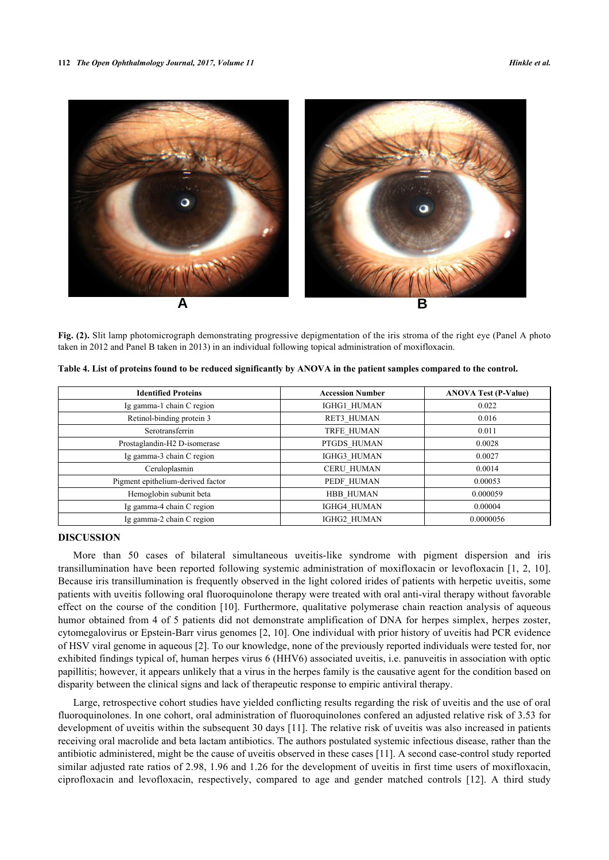

**Fig. (2).** Slit lamp photomicrograph demonstrating progressive depigmentation of the iris stroma of the right eye (Panel A photo taken in 2012 and Panel B taken in 2013) in an individual following topical administration of moxifloxacin.

| <b>Identified Proteins</b>        | <b>Accession Number</b> | <b>ANOVA Test (P-Value)</b> |  |  |  |
|-----------------------------------|-------------------------|-----------------------------|--|--|--|
| Ig gamma-1 chain C region         | IGHG1 HUMAN             | 0.022                       |  |  |  |
| Retinol-binding protein 3         | RET3 HUMAN              | 0.016                       |  |  |  |
| Serotransferrin                   | TRFE HUMAN              | 0.011                       |  |  |  |
| Prostaglandin-H2 D-isomerase      | PTGDS HUMAN             | 0.0028                      |  |  |  |
| Ig gamma-3 chain C region         | IGHG3 HUMAN             | 0.0027                      |  |  |  |
| Ceruloplasmin                     | <b>CERU HUMAN</b>       | 0.0014                      |  |  |  |
| Pigment epithelium-derived factor | PEDF HUMAN              | 0.00053                     |  |  |  |
| Hemoglobin subunit beta           | HBB HUMAN               | 0.000059                    |  |  |  |
| Ig gamma-4 chain C region         | IGHG4 HUMAN             | 0.00004                     |  |  |  |
| Ig gamma-2 chain C region         | IGHG2 HUMAN             | 0.0000056                   |  |  |  |

<span id="page-5-0"></span>**Table 4. List of proteins found to be reduced significantly by ANOVA in the patient samples compared to the control.**

## **DISCUSSION**

More than 50 cases of bilateral simultaneous uveitis-like syndrome with pigment dispersion and iris transillumination have been reported following systemic administration of moxifloxacin or levofloxacin [[1,](#page-7-0) [2](#page-7-2), [10\]](#page-8-6). Because iris transillumination is frequently observed in the light colored irides of patients with herpetic uveitis, some patients with uveitis following oral fluoroquinolone therapy were treated with oral anti-viral therapy without favorable effect on the course of the condition [[10\]](#page-8-6). Furthermore, qualitative polymerase chain reaction analysis of aqueous humor obtained from 4 of 5 patients did not demonstrate amplification of DNA for herpes simplex, herpes zoster, cytomegalovirus or Epstein-Barr virus genomes [[2](#page-7-2), [10](#page-8-6)]. One individual with prior history of uveitis had PCR evidence of HSV viral genome in aqueous [[2\]](#page-7-2). To our knowledge, none of the previously reported individuals were tested for, nor exhibited findings typical of, human herpes virus 6 (HHV6) associated uveitis, i.e. panuveitis in association with optic papillitis; however, it appears unlikely that a virus in the herpes family is the causative agent for the condition based on disparity between the clinical signs and lack of therapeutic response to empiric antiviral therapy.

Large, retrospective cohort studies have yielded conflicting results regarding the risk of uveitis and the use of oral fluoroquinolones. In one cohort, oral administration of fluoroquinolones confered an adjusted relative risk of 3.53 for development of uveitis within the subsequent 30 days [[11](#page-8-7)]. The relative risk of uveitis was also increased in patients receiving oral macrolide and beta lactam antibiotics. The authors postulated systemic infectious disease, rather than the antibiotic administered, might be the cause of uveitis observed in these cases [[11\]](#page-8-7). A second case-control study reported similar adjusted rate ratios of 2.98, 1.96 and 1.26 for the development of uveitis in first time users of moxifloxacin, ciprofloxacin and levofloxacin, respectively, compared to age and gender matched controls[[12\]](#page-8-8). A third study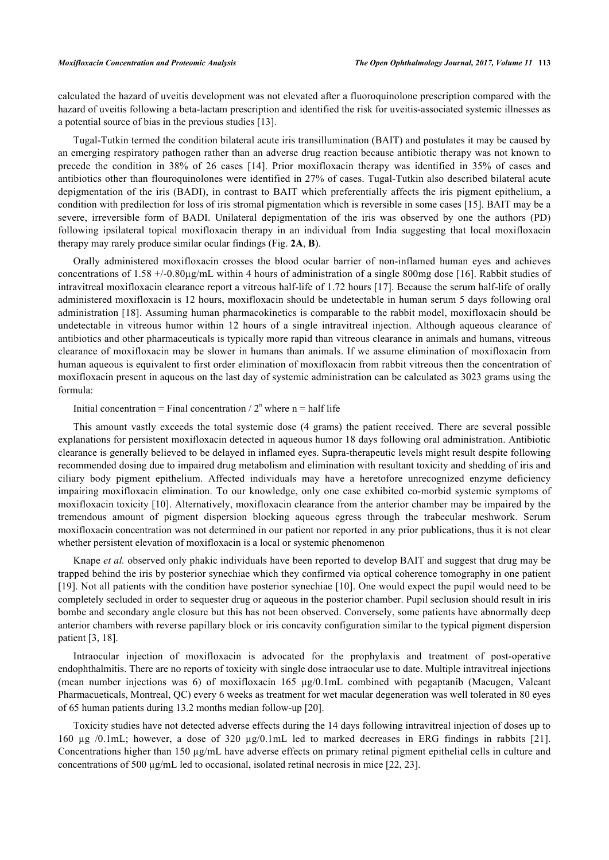calculated the hazard of uveitis development was not elevated after a fluoroquinolone prescription compared with the hazard of uveitis following a beta-lactam prescription and identified the risk for uveitis-associated systemic illnesses as a potential source of bias in the previous studies [[13\]](#page-8-9).

Tugal-Tutkin termed the condition bilateral acute iris transillumination (BAIT) and postulates it may be caused by an emerging respiratory pathogen rather than an adverse drug reaction because antibiotic therapy was not known to precede the condition in 38% of 26 cases[[14\]](#page-8-10). Prior moxifloxacin therapy was identified in 35% of cases and antibiotics other than flouroquinolones were identified in 27% of cases. Tugal-Tutkin also described bilateral acute depigmentation of the iris (BADI), in contrast to BAIT which preferentially affects the iris pigment epithelium, a condition with predilection for loss of iris stromal pigmentation which is reversible in some cases [\[15](#page-8-11)]. BAIT may be a severe, irreversible form of BADI. Unilateral depigmentation of the iris was observed by one the authors (PD) following ipsilateral topical moxifloxacin therapy in an individual from India suggesting that local moxifloxacin therapy may rarely produce similar ocular findings (Fig. **[2A](#page-4-0)**, **[B](#page-4-0)**).

Orally administered moxifloxacin crosses the blood ocular barrier of non-inflamed human eyes and achieves concentrations of 1.58  $+/-0.80\mu g/mL$  within 4 hours of administration of a single 800mg dose [[16\]](#page-8-12). Rabbit studies of intravitreal moxifloxacin clearance report a vitreous half-life of 1.72 hours [\[17](#page-8-13)]. Because the serum half-life of orally administered moxifloxacin is 12 hours, moxifloxacin should be undetectable in human serum 5 days following oral administration [[18\]](#page-8-14). Assuming human pharmacokinetics is comparable to the rabbit model, moxifloxacin should be undetectable in vitreous humor within 12 hours of a single intravitreal injection. Although aqueous clearance of antibiotics and other pharmaceuticals is typically more rapid than vitreous clearance in animals and humans, vitreous clearance of moxifloxacin may be slower in humans than animals. If we assume elimination of moxifloxacin from human aqueous is equivalent to first order elimination of moxifloxacin from rabbit vitreous then the concentration of moxifloxacin present in aqueous on the last day of systemic administration can be calculated as 3023 grams using the formula:

## Initial concentration = Final concentration  $/ 2^n$  where n = half life

This amount vastly exceeds the total systemic dose (4 grams) the patient received. There are several possible explanations for persistent moxifloxacin detected in aqueous humor 18 days following oral administration. Antibiotic clearance is generally believed to be delayed in inflamed eyes. Supra-therapeutic levels might result despite following recommended dosing due to impaired drug metabolism and elimination with resultant toxicity and shedding of iris and ciliary body pigment epithelium. Affected individuals may have a heretofore unrecognized enzyme deficiency impairing moxifloxacin elimination. To our knowledge, only one case exhibited co-morbid systemic symptoms of moxifloxacin toxicity [[10](#page-8-6)]. Alternatively, moxifloxacin clearance from the anterior chamber may be impaired by the tremendous amount of pigment dispersion blocking aqueous egress through the trabecular meshwork. Serum moxifloxacin concentration was not determined in our patient nor reported in any prior publications, thus it is not clear whether persistent elevation of moxifloxacin is a local or systemic phenomenon

Knape *et al.* observed only phakic individuals have been reported to develop BAIT and suggest that drug may be trapped behind the iris by posterior synechiae which they confirmed via optical coherence tomography in one patient [\[19](#page-8-15)]. Not all patients with the condition have posterior synechiae [\[10\]](#page-8-6). One would expect the pupil would need to be completely secluded in order to sequester drug or aqueous in the posterior chamber. Pupil seclusion should result in iris bombe and secondary angle closure but this has not been observed. Conversely, some patients have abnormally deep anterior chambers with reverse papillary block or iris concavity configuration similar to the typical pigment dispersion patient [[3,](#page-7-1) [18\]](#page-8-14).

Intraocular injection of moxifloxacin is advocated for the prophylaxis and treatment of post-operative endophthalmitis. There are no reports of toxicity with single dose intraocular use to date. Multiple intravitreal injections (mean number injections was 6) of moxifloxacin 165 µg/0.1mL combined with pegaptanib (Macugen, Valeant Pharmacueticals, Montreal, QC) every 6 weeks as treatment for wet macular degeneration was well tolerated in 80 eyes of 65 human patients during 13.2 months median follow-up [\[20](#page-8-16)].

Toxicity studies have not detected adverse effects during the 14 days following intravitreal injection of doses up to 160 µg /0.1mL; however, a dose of 320 µg/0.1mL led to marked decreases in ERG findings in rabbits [\[21\]](#page-8-17). Concentrations higher than 150 µg/mL have adverse effects on primary retinal pigment epithelial cells in culture and concentrations of 500  $\mu$ g/mL led to occasional, isolated retinal necrosis in mice [\[22](#page-8-18), [23](#page-8-19)].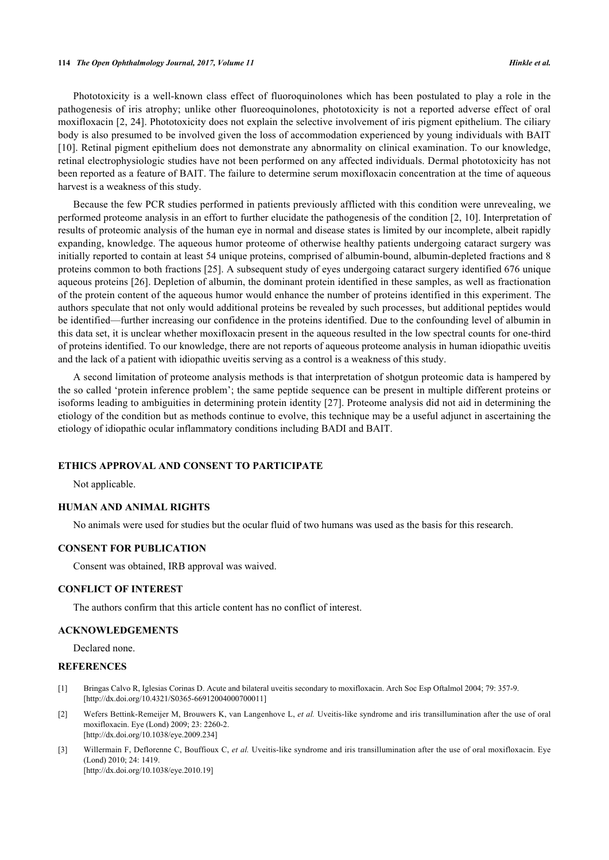#### **114** *The Open Ophthalmology Journal, 2017, Volume 11 Hinkle et al.*

Phototoxicity is a well-known class effect of fluoroquinolones which has been postulated to play a role in the pathogenesis of iris atrophy; unlike other fluoreoquinolones, phototoxicity is not a reported adverse effect of oral moxifloxacin [\[2](#page-7-2), [24\]](#page-8-20). Phototoxicity does not explain the selective involvement of iris pigment epithelium. The ciliary body is also presumed to be involved given the loss of accommodation experienced by young individuals with BAIT [\[10](#page-8-6)]. Retinal pigment epithelium does not demonstrate any abnormality on clinical examination. To our knowledge, retinal electrophysiologic studies have not been performed on any affected individuals. Dermal phototoxicity has not been reported as a feature of BAIT. The failure to determine serum moxifloxacin concentration at the time of aqueous harvest is a weakness of this study.

Because the few PCR studies performed in patients previously afflicted with this condition were unrevealing, we performed proteome analysis in an effort to further elucidate the pathogenesis of the condition [[2,](#page-7-2) [10](#page-8-6)]. Interpretation of results of proteomic analysis of the human eye in normal and disease states is limited by our incomplete, albeit rapidly expanding, knowledge. The aqueous humor proteome of otherwise healthy patients undergoing cataract surgery was initially reported to contain at least 54 unique proteins, comprised of albumin-bound, albumin-depleted fractions and 8 proteins common to both fractions [[25\]](#page-8-21). A subsequent study of eyes undergoing cataract surgery identified 676 unique aqueous proteins [\[26\]](#page-9-0). Depletion of albumin, the dominant protein identified in these samples, as well as fractionation of the protein content of the aqueous humor would enhance the number of proteins identified in this experiment. The authors speculate that not only would additional proteins be revealed by such processes, but additional peptides would be identified—further increasing our confidence in the proteins identified. Due to the confounding level of albumin in this data set, it is unclear whether moxifloxacin present in the aqueous resulted in the low spectral counts for one-third of proteins identified. To our knowledge, there are not reports of aqueous proteome analysis in human idiopathic uveitis and the lack of a patient with idiopathic uveitis serving as a control is a weakness of this study.

A second limitation of proteome analysis methods is that interpretation of shotgun proteomic data is hampered by the so called 'protein inference problem'; the same peptide sequence can be present in multiple different proteins or isoforms leading to ambiguities in determining protein identity [\[27\]](#page-9-1). Proteome analysis did not aid in determining the etiology of the condition but as methods continue to evolve, this technique may be a useful adjunct in ascertaining the etiology of idiopathic ocular inflammatory conditions including BADI and BAIT.

## **ETHICS APPROVAL AND CONSENT TO PARTICIPATE**

Not applicable.

## **HUMAN AND ANIMAL RIGHTS**

No animals were used for studies but the ocular fluid of two humans was used as the basis for this research.

#### **CONSENT FOR PUBLICATION**

Consent was obtained, IRB approval was waived.

#### **CONFLICT OF INTEREST**

The authors confirm that this article content has no conflict of interest.

## **ACKNOWLEDGEMENTS**

Declared none.

## **REFERENCES**

- <span id="page-7-0"></span>[1] Bringas Calvo R, Iglesias Corinas D. Acute and bilateral uveitis secondary to moxifloxacin. Arch Soc Esp Oftalmol 2004; 79: 357-9. [\[http://dx.doi.org/10.4321/S0365-66912004000700011\]](http://dx.doi.org/10.4321/S0365-66912004000700011)
- <span id="page-7-2"></span>[2] Wefers Bettink-Remeijer M, Brouwers K, van Langenhove L, *et al.* Uveitis-like syndrome and iris transillumination after the use of oral moxifloxacin. Eye (Lond) 2009; 23: 2260-2. [\[http://dx.doi.org/10.1038/eye.2009.234\]](http://dx.doi.org/10.1038/eye.2009.234)
- <span id="page-7-1"></span>[3] Willermain F, Deflorenne C, Bouffioux C, *et al.* Uveitis-like syndrome and iris transillumination after the use of oral moxifloxacin. Eye (Lond) 2010; 24: 1419. [\[http://dx.doi.org/10.1038/eye.2010.19\]](http://dx.doi.org/10.1038/eye.2010.19)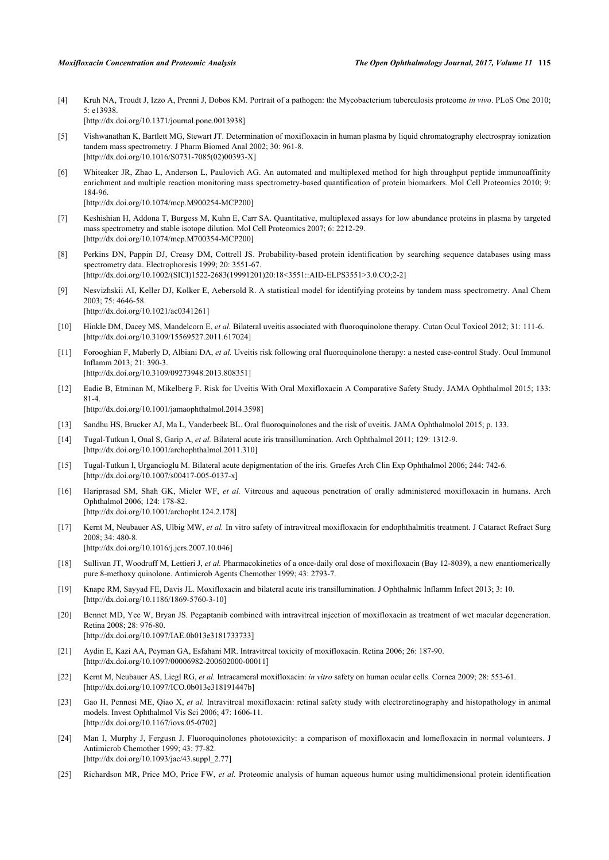- <span id="page-8-0"></span>[4] Kruh NA, Troudt J, Izzo A, Prenni J, Dobos KM. Portrait of a pathogen: the Mycobacterium tuberculosis proteome *in vivo*. PLoS One 2010; 5: e13938. [\[http://dx.doi.org/10.1371/journal.pone.0013938](http://dx.doi.org/10.1371/journal.pone.0013938)]
- <span id="page-8-1"></span>[5] Vishwanathan K, Bartlett MG, Stewart JT. Determination of moxifloxacin in human plasma by liquid chromatography electrospray ionization tandem mass spectrometry. J Pharm Biomed Anal 2002; 30: 961-8. [\[http://dx.doi.org/10.1016/S0731-7085\(02\)00393-X\]](http://dx.doi.org/10.1016/S0731-7085(02)00393-X)
- <span id="page-8-2"></span>[6] Whiteaker JR, Zhao L, Anderson L, Paulovich AG. An automated and multiplexed method for high throughput peptide immunoaffinity enrichment and multiple reaction monitoring mass spectrometry-based quantification of protein biomarkers. Mol Cell Proteomics 2010; 9: 184-96.

[\[http://dx.doi.org/10.1074/mcp.M900254-MCP200](http://dx.doi.org/10.1074/mcp.M900254-MCP200)]

- <span id="page-8-3"></span>[7] Keshishian H, Addona T, Burgess M, Kuhn E, Carr SA. Quantitative, multiplexed assays for low abundance proteins in plasma by targeted mass spectrometry and stable isotope dilution. Mol Cell Proteomics 2007; 6: 2212-29. [\[http://dx.doi.org/10.1074/mcp.M700354-MCP200](http://dx.doi.org/10.1074/mcp.M700354-MCP200)]
- <span id="page-8-4"></span>[8] Perkins DN, Pappin DJ, Creasy DM, Cottrell JS. Probability-based protein identification by searching sequence databases using mass spectrometry data. Electrophoresis 1999; 20: 3551-67. [\[http://dx.doi.org/10.1002/\(SICI\)1522-2683\(19991201\)20:18<3551::AID-ELPS3551>3.0.CO;2-2](http://dx.doi.org/10.1002/(SICI)1522-2683(19991201)20:18<3551::AID-ELPS3551>3.0.CO;2-2)]
- <span id="page-8-5"></span>[9] Nesvizhskii AI, Keller DJ, Kolker E, Aebersold R. A statistical model for identifying proteins by tandem mass spectrometry. Anal Chem 2003; 75: 4646-58. [\[http://dx.doi.org/10.1021/ac0341261\]](http://dx.doi.org/10.1021/ac0341261)
- <span id="page-8-6"></span>[10] Hinkle DM, Dacey MS, Mandelcorn E, *et al.* Bilateral uveitis associated with fluoroquinolone therapy. Cutan Ocul Toxicol 2012; 31: 111-6. [\[http://dx.doi.org/10.3109/15569527.2011.617024\]](http://dx.doi.org/10.3109/15569527.2011.617024)
- <span id="page-8-7"></span>[11] Forooghian F, Maberly D, Albiani DA, *et al.* Uveitis risk following oral fluoroquinolone therapy: a nested case-control Study. Ocul Immunol Inflamm 2013; 21: 390-3. [\[http://dx.doi.org/10.3109/09273948.2013.808351\]](http://dx.doi.org/10.3109/09273948.2013.808351)
- <span id="page-8-8"></span>[12] Eadie B, Etminan M, Mikelberg F. Risk for Uveitis With Oral Moxifloxacin A Comparative Safety Study. JAMA Ophthalmol 2015; 133: 81-4. [\[http://dx.doi.org/10.1001/jamaophthalmol.2014.3598\]](http://dx.doi.org/10.1001/jamaophthalmol.2014.3598)
- <span id="page-8-9"></span>[13] Sandhu HS, Brucker AJ, Ma L, Vanderbeek BL. Oral fluoroquinolones and the risk of uveitis. JAMA Ophthalmolol 2015; p. 133.
- <span id="page-8-10"></span>[14] Tugal-Tutkun I, Onal S, Garip A, *et al.* Bilateral acute iris transillumination. Arch Ophthalmol 2011; 129: 1312-9. [\[http://dx.doi.org/10.1001/archophthalmol.2011.310](http://dx.doi.org/10.1001/archophthalmol.2011.310)]
- <span id="page-8-11"></span>[15] Tugal-Tutkun I, Urgancioglu M. Bilateral acute depigmentation of the iris. Graefes Arch Clin Exp Ophthalmol 2006; 244: 742-6. [\[http://dx.doi.org/10.1007/s00417-005-0137-x\]](http://dx.doi.org/10.1007/s00417-005-0137-x)
- <span id="page-8-12"></span>[16] Hariprasad SM, Shah GK, Mieler WF, *et al.* Vitreous and aqueous penetration of orally administered moxifloxacin in humans. Arch Ophthalmol 2006; 124: 178-82. [\[http://dx.doi.org/10.1001/archopht.124.2.178\]](http://dx.doi.org/10.1001/archopht.124.2.178)
- <span id="page-8-13"></span>[17] Kernt M, Neubauer AS, Ulbig MW, *et al.* In vitro safety of intravitreal moxifloxacin for endophthalmitis treatment. J Cataract Refract Surg 2008; 34: 480-8. [\[http://dx.doi.org/10.1016/j.jcrs.2007.10.046\]](http://dx.doi.org/10.1016/j.jcrs.2007.10.046)
- <span id="page-8-14"></span>[18] Sullivan JT, Woodruff M, Lettieri J, *et al.* Pharmacokinetics of a once-daily oral dose of moxifloxacin (Bay 12-8039), a new enantiomerically pure 8-methoxy quinolone. Antimicrob Agents Chemother 1999; 43: 2793-7.
- <span id="page-8-15"></span>[19] Knape RM, Sayyad FE, Davis JL. Moxifloxacin and bilateral acute iris transillumination. J Ophthalmic Inflamm Infect 2013; 3: 10. [\[http://dx.doi.org/10.1186/1869-5760-3-10\]](http://dx.doi.org/10.1186/1869-5760-3-10)
- <span id="page-8-16"></span>[20] Bennet MD, Yee W, Bryan JS. Pegaptanib combined with intravitreal injection of moxifloxacin as treatment of wet macular degeneration. Retina 2008; 28: 976-80. [\[http://dx.doi.org/10.1097/IAE.0b013e3181733733\]](http://dx.doi.org/10.1097/IAE.0b013e3181733733)
- <span id="page-8-17"></span>[21] Aydin E, Kazi AA, Peyman GA, Esfahani MR. Intravitreal toxicity of moxifloxacin. Retina 2006; 26: 187-90. [\[http://dx.doi.org/10.1097/00006982-200602000-00011](http://dx.doi.org/10.1097/00006982-200602000-00011)]
- <span id="page-8-18"></span>[22] Kernt M, Neubauer AS, Liegl RG, *et al.* Intracameral moxifloxacin: *in vitro* safety on human ocular cells. Cornea 2009; 28: 553-61. [\[http://dx.doi.org/10.1097/ICO.0b013e318191447b](http://dx.doi.org/10.1097/ICO.0b013e318191447b)]
- <span id="page-8-19"></span>[23] Gao H, Pennesi ME, Qiao X, *et al.* Intravitreal moxifloxacin: retinal safety study with electroretinography and histopathology in animal models. Invest Ophthalmol Vis Sci 2006; 47: 1606-11. [\[http://dx.doi.org/10.1167/iovs.05-0702\]](http://dx.doi.org/10.1167/iovs.05-0702)
- <span id="page-8-20"></span>[24] Man I, Murphy J, Fergusn J. Fluoroquinolones phototoxicity: a comparison of moxifloxacin and lomefloxacin in normal volunteers. J Antimicrob Chemother 1999; 43: 77-82. [\[http://dx.doi.org/10.1093/jac/43.suppl\\_2.77\]](http://dx.doi.org/10.1093/jac/43.suppl_2.77)
- <span id="page-8-21"></span>[25] Richardson MR, Price MO, Price FW, *et al.* Proteomic analysis of human aqueous humor using multidimensional protein identification